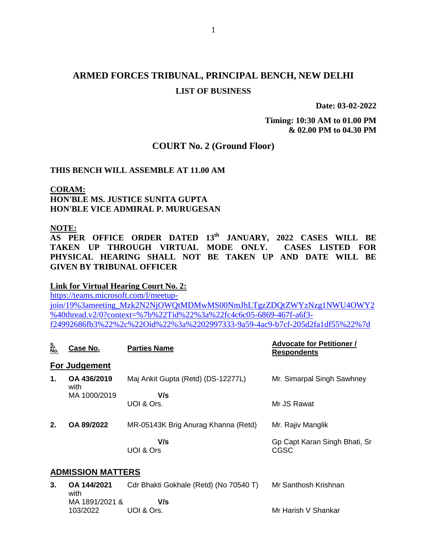# **ARMED FORCES TRIBUNAL, PRINCIPAL BENCH, NEW DELHI LIST OF BUSINESS**

**Date: 03-02-2022**

**Timing: 10:30 AM to 01.00 PM & 02.00 PM to 04.30 PM**

### **COURT No. 2 (Ground Floor)**

#### **THIS BENCH WILL ASSEMBLE AT 11.00 AM**

## **CORAM: HON'BLE MS. JUSTICE SUNITA GUPTA HON'BLE VICE ADMIRAL P. MURUGESAN**

# **NOTE:**

**AS PER OFFICE ORDER DATED 13th JANUARY, 2022 CASES WILL BE TAKEN UP THROUGH VIRTUAL MODE ONLY. CASES LISTED FOR PHYSICAL HEARING SHALL NOT BE TAKEN UP AND DATE WILL BE GIVEN BY TRIBUNAL OFFICER**

#### **Link for Virtual Hearing Court No. 2:**

[https://teams.microsoft.com/l/meetup](https://teams.microsoft.com/l/meetup-join/19%3ameeting_Mzk2N2NjOWQtMDMwMS00NmJhLTgzZDQtZWYzNzg1NWU4OWY2%40thread.v2/0?context=%7b%22Tid%22%3a%22fc4c6c05-6869-467f-a6f3-f24992686fb3%22%2c%22Oid%22%3a%2202997333-9a59-4ac9-b7cf-205d2fa1df55%22%7d)[join/19%3ameeting\\_Mzk2N2NjOWQtMDMwMS00NmJhLTgzZDQtZWYzNzg1NWU4OWY2](https://teams.microsoft.com/l/meetup-join/19%3ameeting_Mzk2N2NjOWQtMDMwMS00NmJhLTgzZDQtZWYzNzg1NWU4OWY2%40thread.v2/0?context=%7b%22Tid%22%3a%22fc4c6c05-6869-467f-a6f3-f24992686fb3%22%2c%22Oid%22%3a%2202997333-9a59-4ac9-b7cf-205d2fa1df55%22%7d) [%40thread.v2/0?context=%7b%22Tid%22%3a%22fc4c6c05-6869-467f-a6f3](https://teams.microsoft.com/l/meetup-join/19%3ameeting_Mzk2N2NjOWQtMDMwMS00NmJhLTgzZDQtZWYzNzg1NWU4OWY2%40thread.v2/0?context=%7b%22Tid%22%3a%22fc4c6c05-6869-467f-a6f3-f24992686fb3%22%2c%22Oid%22%3a%2202997333-9a59-4ac9-b7cf-205d2fa1df55%22%7d) [f24992686fb3%22%2c%22Oid%22%3a%2202997333-9a59-4ac9-b7cf-205d2fa1df55%22%7d](https://teams.microsoft.com/l/meetup-join/19%3ameeting_Mzk2N2NjOWQtMDMwMS00NmJhLTgzZDQtZWYzNzg1NWU4OWY2%40thread.v2/0?context=%7b%22Tid%22%3a%22fc4c6c05-6869-467f-a6f3-f24992686fb3%22%2c%22Oid%22%3a%2202997333-9a59-4ac9-b7cf-205d2fa1df55%22%7d)

| <u>S.</u><br>No.         | Case No.            | <b>Parties Name</b>                 | <b>Advocate for Petitioner /</b><br><b>Respondents</b> |
|--------------------------|---------------------|-------------------------------------|--------------------------------------------------------|
|                          | For Judgement       |                                     |                                                        |
| 1.                       | OA 436/2019<br>with | Maj Ankit Gupta (Retd) (DS-12277L)  | Mr. Simarpal Singh Sawhney                             |
|                          | MA 1000/2019        | V/s                                 |                                                        |
|                          |                     | UOI & Ors.                          | Mr JS Rawat                                            |
| 2.                       | OA 89/2022          | MR-05143K Brig Anurag Khanna (Retd) | Mr. Rajiv Manglik                                      |
|                          |                     | V/s                                 | Gp Capt Karan Singh Bhati, Sr                          |
|                          |                     | UOI & Ors                           | CGSC                                                   |
| <b>ADMISSION MATTERS</b> |                     |                                     |                                                        |

| 3. | OA 144/2021<br>with | Cdr Bhakti Gokhale (Retd) (No 70540 T) | Mr Santhosh Krishnan |
|----|---------------------|----------------------------------------|----------------------|
|    | MA 1891/2021 &      | <b>V/s</b>                             |                      |
|    | 103/2022            | UOI & Ors.                             | Mr Harish V Shankar  |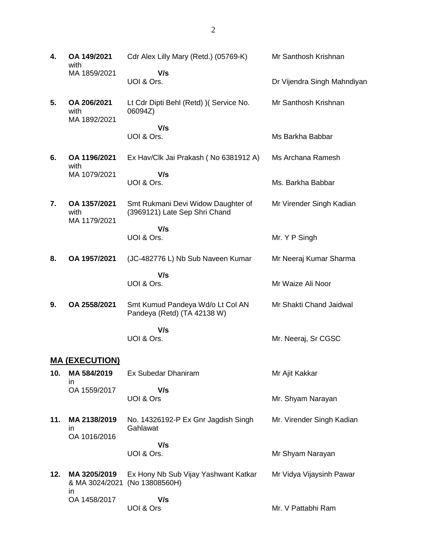| 4.  | OA 149/2021<br>with                   | Cdr Alex Lilly Mary (Retd.) (05769-K)                               | Mr Santhosh Krishnan        |
|-----|---------------------------------------|---------------------------------------------------------------------|-----------------------------|
|     | MA 1859/2021                          | V/s<br>UOI & Ors.                                                   | Dr Vijendra Singh Mahndiyan |
| 5.  | OA 206/2021<br>with<br>MA 1892/2021   | Lt Cdr Dipti Behl (Retd) ) (Service No.<br>06094Z)                  | Mr Santhosh Krishnan        |
|     |                                       | V/s<br>UOI & Ors.                                                   | Ms Barkha Babbar            |
| 6.  | OA 1196/2021<br>with                  | Ex Hav/Clk Jai Prakash (No 6381912 A)                               | Ms Archana Ramesh           |
|     | MA 1079/2021                          | V/s<br>UOI & Ors.                                                   | Ms. Barkha Babbar           |
| 7.  | OA 1357/2021<br>with<br>MA 1179/2021  | Smt Rukmani Devi Widow Daughter of<br>(3969121) Late Sep Shri Chand | Mr Virender Singh Kadian    |
|     |                                       | V/s<br>UOI & Ors.                                                   | Mr. Y P Singh               |
| 8.  | OA 1957/2021                          | (JC-482776 L) Nb Sub Naveen Kumar                                   | Mr Neeraj Kumar Sharma      |
|     |                                       | V/s<br>UOI & Ors.                                                   | Mr Waize Ali Noor           |
| 9.  | OA 2558/2021                          | Smt Kumud Pandeya Wd/o Lt Col AN<br>Pandeya (Retd) (TA 42138 W)     | Mr Shakti Chand Jaidwal     |
|     |                                       | V/s<br>UOI & Ors.                                                   | Mr. Neeraj, Sr CGSC         |
|     | <b>MA (EXECUTION)</b>                 |                                                                     |                             |
| 10. | MA 584/2019<br>in                     | Ex Subedar Dhaniram                                                 | Mr Ajit Kakkar              |
|     | OA 1559/2017                          | V/s<br>UOI & Ors                                                    | Mr. Shyam Narayan           |
| 11. | MA 2138/2019<br>ın<br>OA 1016/2016    | No. 14326192-P Ex Gnr Jagdish Singh<br>Gahlawat                     | Mr. Virender Singh Kadian   |
|     |                                       | V/s                                                                 |                             |
|     |                                       | UOI & Ors.                                                          | Mr Shyam Narayan            |
| 12. | MA 3205/2019<br>& MA 3024/2021<br>in. | Ex Hony Nb Sub Vijay Yashwant Katkar<br>(No 13808560H)              | Mr Vidya Vijaysinh Pawar    |
|     | OA 1458/2017                          | V/s                                                                 |                             |

Mr. V Pattabhi Ram

OA 1458/2017

UOI & Ors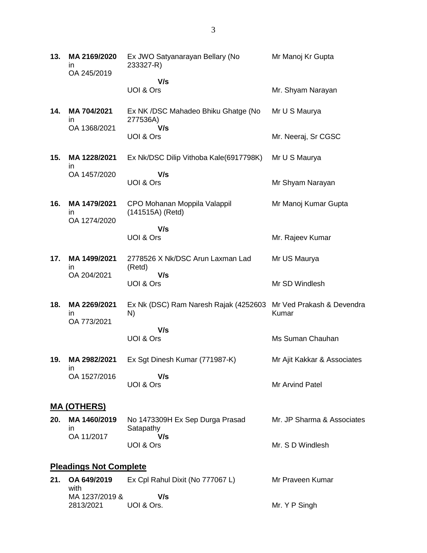| 13. | MA 2169/2020<br>ın<br>OA 245/2019  | Ex JWO Satyanarayan Bellary (No<br>233327-R)     | Mr Manoj Kr Gupta                  |
|-----|------------------------------------|--------------------------------------------------|------------------------------------|
|     |                                    | V/s                                              |                                    |
|     |                                    | UOI & Ors                                        | Mr. Shyam Narayan                  |
| 14. | MA 704/2021<br>ın                  | Ex NK /DSC Mahadeo Bhiku Ghatge (No<br>277536A)  | Mr U S Maurya                      |
|     | OA 1368/2021                       | V/s<br>UOI & Ors                                 | Mr. Neeraj, Sr CGSC                |
| 15. | MA 1228/2021<br>ın                 | Ex Nk/DSC Dilip Vithoba Kale(6917798K)           | Mr U S Maurya                      |
|     | OA 1457/2020                       | V/s<br>UOI & Ors                                 | Mr Shyam Narayan                   |
| 16. | MA 1479/2021<br>in<br>OA 1274/2020 | CPO Mohanan Moppila Valappil<br>(141515A) (Retd) | Mr Manoj Kumar Gupta               |
|     |                                    | V/s<br>UOI & Ors                                 | Mr. Rajeev Kumar                   |
| 17. | MA 1499/2021<br>ın                 | 2778526 X Nk/DSC Arun Laxman Lad<br>(Retd)       | Mr US Maurya                       |
|     | OA 204/2021                        | V/s<br>UOI & Ors                                 | Mr SD Windlesh                     |
| 18. | MA 2269/2021<br>in<br>OA 773/2021  | Ex Nk (DSC) Ram Naresh Rajak (4252603<br>N)      | Mr Ved Prakash & Devendra<br>Kumar |
|     |                                    | V/s<br>UOI & Ors                                 | Ms Suman Chauhan                   |
| 19. | MA 2982/2021<br>ın                 | Ex Sgt Dinesh Kumar (771987-K)                   | Mr Ajit Kakkar & Associates        |
|     | OA 1527/2016                       | V/s<br>UOI & Ors                                 | Mr Arvind Patel                    |
|     | <u>MA (OTHERS)</u>                 |                                                  |                                    |
| 20. | MA 1460/2019<br>in.                | No 1473309H Ex Sep Durga Prasad<br>Satapathy     | Mr. JP Sharma & Associates         |
|     | OA 11/2017                         | V/s<br>UOI & Ors                                 | Mr. S D Windlesh                   |
|     | <b>Pleadings Not Complete</b>      |                                                  |                                    |
| 21. | OA 649/2019<br>with                | Ex Cpl Rahul Dixit (No 777067 L)                 | Mr Praveen Kumar                   |
|     | MA 1237/2019 &<br>2813/2021        | V/s<br>UOI & Ors.                                | Mr. Y P Singh                      |